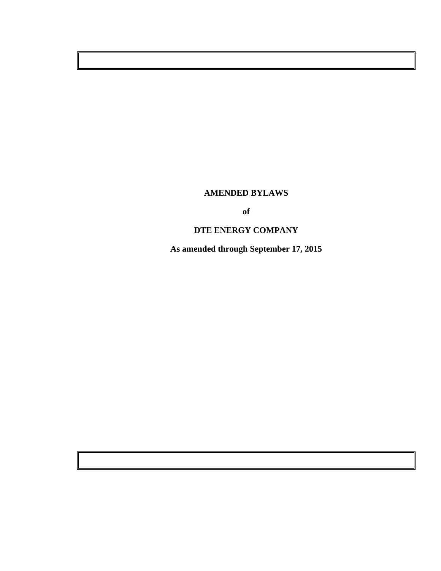# **AMENDED BYLAWS**

**of** 

# **DTE ENERGY COMPANY**

**As amended through September 17, 2015**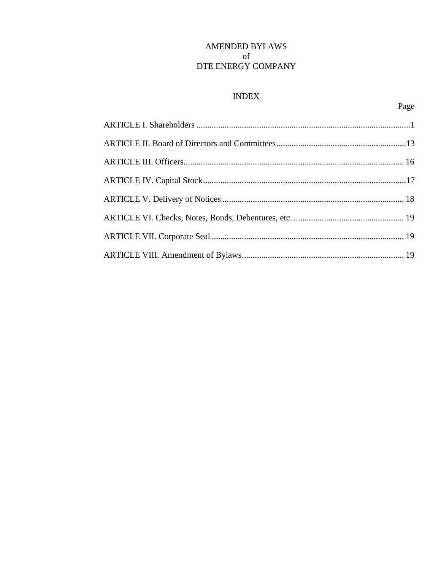## AMENDED BYLAWS of DTE ENERGY COMPANY

## **INDEX**

Page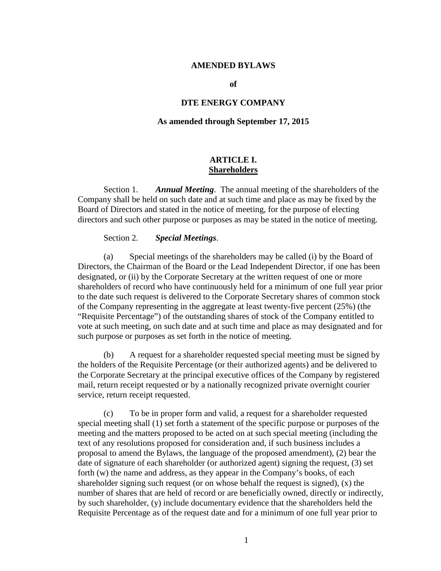#### **AMENDED BYLAWS**

**of** 

### **DTE ENERGY COMPANY**

#### **As amended through September 17, 2015**

### **ARTICLE I. Shareholders**

Section 1. *Annual Meeting*. The annual meeting of the shareholders of the Company shall be held on such date and at such time and place as may be fixed by the Board of Directors and stated in the notice of meeting, for the purpose of electing directors and such other purpose or purposes as may be stated in the notice of meeting.

### Section 2. *Special Meetings*.

(a) Special meetings of the shareholders may be called (i) by the Board of Directors, the Chairman of the Board or the Lead Independent Director, if one has been designated, or (ii) by the Corporate Secretary at the written request of one or more shareholders of record who have continuously held for a minimum of one full year prior to the date such request is delivered to the Corporate Secretary shares of common stock of the Company representing in the aggregate at least twenty-five percent (25%) (the "Requisite Percentage") of the outstanding shares of stock of the Company entitled to vote at such meeting, on such date and at such time and place as may designated and for such purpose or purposes as set forth in the notice of meeting.

(b) A request for a shareholder requested special meeting must be signed by the holders of the Requisite Percentage (or their authorized agents) and be delivered to the Corporate Secretary at the principal executive offices of the Company by registered mail, return receipt requested or by a nationally recognized private overnight courier service, return receipt requested.

(c) To be in proper form and valid, a request for a shareholder requested special meeting shall (1) set forth a statement of the specific purpose or purposes of the meeting and the matters proposed to be acted on at such special meeting (including the text of any resolutions proposed for consideration and, if such business includes a proposal to amend the Bylaws, the language of the proposed amendment), (2) bear the date of signature of each shareholder (or authorized agent) signing the request, (3) set forth (w) the name and address, as they appear in the Company's books, of each shareholder signing such request (or on whose behalf the request is signed), (x) the number of shares that are held of record or are beneficially owned, directly or indirectly, by such shareholder, (y) include documentary evidence that the shareholders held the Requisite Percentage as of the request date and for a minimum of one full year prior to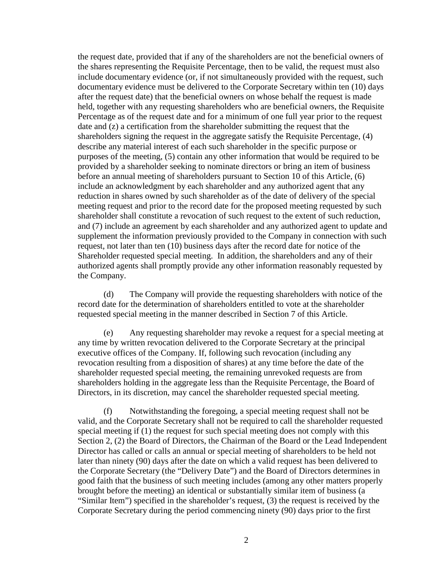the request date, provided that if any of the shareholders are not the beneficial owners of the shares representing the Requisite Percentage, then to be valid, the request must also include documentary evidence (or, if not simultaneously provided with the request, such documentary evidence must be delivered to the Corporate Secretary within ten (10) days after the request date) that the beneficial owners on whose behalf the request is made held, together with any requesting shareholders who are beneficial owners, the Requisite Percentage as of the request date and for a minimum of one full year prior to the request date and (z) a certification from the shareholder submitting the request that the shareholders signing the request in the aggregate satisfy the Requisite Percentage, (4) describe any material interest of each such shareholder in the specific purpose or purposes of the meeting, (5) contain any other information that would be required to be provided by a shareholder seeking to nominate directors or bring an item of business before an annual meeting of shareholders pursuant to Section 10 of this Article, (6) include an acknowledgment by each shareholder and any authorized agent that any reduction in shares owned by such shareholder as of the date of delivery of the special meeting request and prior to the record date for the proposed meeting requested by such shareholder shall constitute a revocation of such request to the extent of such reduction, and (7) include an agreement by each shareholder and any authorized agent to update and supplement the information previously provided to the Company in connection with such request, not later than ten (10) business days after the record date for notice of the Shareholder requested special meeting. In addition, the shareholders and any of their authorized agents shall promptly provide any other information reasonably requested by the Company.

(d) The Company will provide the requesting shareholders with notice of the record date for the determination of shareholders entitled to vote at the shareholder requested special meeting in the manner described in Section 7 of this Article.

(e) Any requesting shareholder may revoke a request for a special meeting at any time by written revocation delivered to the Corporate Secretary at the principal executive offices of the Company. If, following such revocation (including any revocation resulting from a disposition of shares) at any time before the date of the shareholder requested special meeting, the remaining unrevoked requests are from shareholders holding in the aggregate less than the Requisite Percentage, the Board of Directors, in its discretion, may cancel the shareholder requested special meeting.

(f) Notwithstanding the foregoing, a special meeting request shall not be valid, and the Corporate Secretary shall not be required to call the shareholder requested special meeting if (1) the request for such special meeting does not comply with this Section 2, (2) the Board of Directors, the Chairman of the Board or the Lead Independent Director has called or calls an annual or special meeting of shareholders to be held not later than ninety (90) days after the date on which a valid request has been delivered to the Corporate Secretary (the "Delivery Date") and the Board of Directors determines in good faith that the business of such meeting includes (among any other matters properly brought before the meeting) an identical or substantially similar item of business (a "Similar Item") specified in the shareholder's request, (3) the request is received by the Corporate Secretary during the period commencing ninety (90) days prior to the first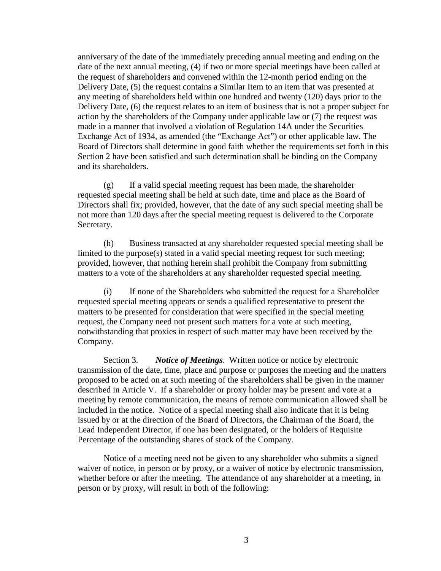anniversary of the date of the immediately preceding annual meeting and ending on the date of the next annual meeting, (4) if two or more special meetings have been called at the request of shareholders and convened within the 12-month period ending on the Delivery Date, (5) the request contains a Similar Item to an item that was presented at any meeting of shareholders held within one hundred and twenty (120) days prior to the Delivery Date, (6) the request relates to an item of business that is not a proper subject for action by the shareholders of the Company under applicable law or (7) the request was made in a manner that involved a violation of Regulation 14A under the Securities Exchange Act of 1934, as amended (the "Exchange Act") or other applicable law. The Board of Directors shall determine in good faith whether the requirements set forth in this Section 2 have been satisfied and such determination shall be binding on the Company and its shareholders.

(g) If a valid special meeting request has been made, the shareholder requested special meeting shall be held at such date, time and place as the Board of Directors shall fix; provided, however, that the date of any such special meeting shall be not more than 120 days after the special meeting request is delivered to the Corporate Secretary.

(h) Business transacted at any shareholder requested special meeting shall be limited to the purpose(s) stated in a valid special meeting request for such meeting; provided, however, that nothing herein shall prohibit the Company from submitting matters to a vote of the shareholders at any shareholder requested special meeting.

(i) If none of the Shareholders who submitted the request for a Shareholder requested special meeting appears or sends a qualified representative to present the matters to be presented for consideration that were specified in the special meeting request, the Company need not present such matters for a vote at such meeting, notwithstanding that proxies in respect of such matter may have been received by the Company.

Section 3. *Notice of Meetings*. Written notice or notice by electronic transmission of the date, time, place and purpose or purposes the meeting and the matters proposed to be acted on at such meeting of the shareholders shall be given in the manner described in Article V. If a shareholder or proxy holder may be present and vote at a meeting by remote communication, the means of remote communication allowed shall be included in the notice. Notice of a special meeting shall also indicate that it is being issued by or at the direction of the Board of Directors, the Chairman of the Board, the Lead Independent Director, if one has been designated, or the holders of Requisite Percentage of the outstanding shares of stock of the Company.

Notice of a meeting need not be given to any shareholder who submits a signed waiver of notice, in person or by proxy, or a waiver of notice by electronic transmission, whether before or after the meeting. The attendance of any shareholder at a meeting, in person or by proxy, will result in both of the following: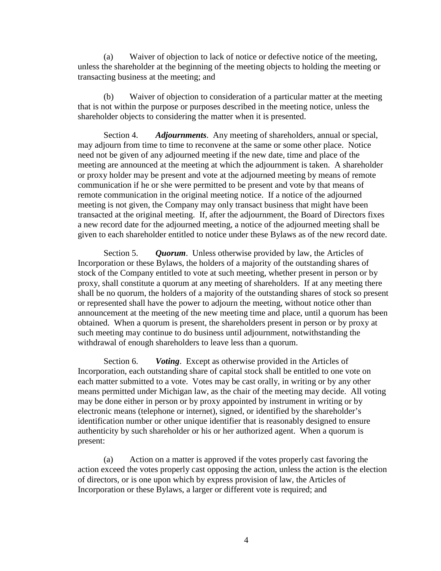(a) Waiver of objection to lack of notice or defective notice of the meeting, unless the shareholder at the beginning of the meeting objects to holding the meeting or transacting business at the meeting; and

(b) Waiver of objection to consideration of a particular matter at the meeting that is not within the purpose or purposes described in the meeting notice, unless the shareholder objects to considering the matter when it is presented.

Section 4. *Adjournments*. Any meeting of shareholders, annual or special, may adjourn from time to time to reconvene at the same or some other place. Notice need not be given of any adjourned meeting if the new date, time and place of the meeting are announced at the meeting at which the adjournment is taken. A shareholder or proxy holder may be present and vote at the adjourned meeting by means of remote communication if he or she were permitted to be present and vote by that means of remote communication in the original meeting notice. If a notice of the adjourned meeting is not given, the Company may only transact business that might have been transacted at the original meeting. If, after the adjournment, the Board of Directors fixes a new record date for the adjourned meeting, a notice of the adjourned meeting shall be given to each shareholder entitled to notice under these Bylaws as of the new record date.

Section 5. *Quorum*. Unless otherwise provided by law, the Articles of Incorporation or these Bylaws, the holders of a majority of the outstanding shares of stock of the Company entitled to vote at such meeting, whether present in person or by proxy, shall constitute a quorum at any meeting of shareholders. If at any meeting there shall be no quorum, the holders of a majority of the outstanding shares of stock so present or represented shall have the power to adjourn the meeting, without notice other than announcement at the meeting of the new meeting time and place, until a quorum has been obtained. When a quorum is present, the shareholders present in person or by proxy at such meeting may continue to do business until adjournment, notwithstanding the withdrawal of enough shareholders to leave less than a quorum.

Section 6. *Voting*. Except as otherwise provided in the Articles of Incorporation, each outstanding share of capital stock shall be entitled to one vote on each matter submitted to a vote. Votes may be cast orally, in writing or by any other means permitted under Michigan law, as the chair of the meeting may decide. All voting may be done either in person or by proxy appointed by instrument in writing or by electronic means (telephone or internet), signed, or identified by the shareholder's identification number or other unique identifier that is reasonably designed to ensure authenticity by such shareholder or his or her authorized agent. When a quorum is present:

(a) Action on a matter is approved if the votes properly cast favoring the action exceed the votes properly cast opposing the action, unless the action is the election of directors, or is one upon which by express provision of law, the Articles of Incorporation or these Bylaws, a larger or different vote is required; and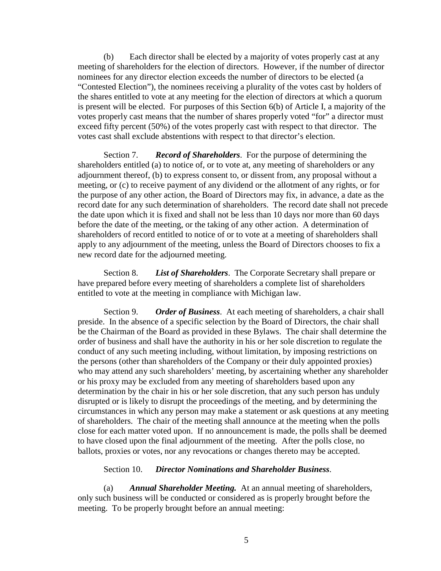(b) Each director shall be elected by a majority of votes properly cast at any meeting of shareholders for the election of directors. However, if the number of director nominees for any director election exceeds the number of directors to be elected (a "Contested Election"), the nominees receiving a plurality of the votes cast by holders of the shares entitled to vote at any meeting for the election of directors at which a quorum is present will be elected. For purposes of this Section 6(b) of Article I, a majority of the votes properly cast means that the number of shares properly voted "for" a director must exceed fifty percent (50%) of the votes properly cast with respect to that director. The votes cast shall exclude abstentions with respect to that director's election.

Section 7. *Record of Shareholders*. For the purpose of determining the shareholders entitled (a) to notice of, or to vote at, any meeting of shareholders or any adjournment thereof, (b) to express consent to, or dissent from, any proposal without a meeting, or (c) to receive payment of any dividend or the allotment of any rights, or for the purpose of any other action, the Board of Directors may fix, in advance, a date as the record date for any such determination of shareholders. The record date shall not precede the date upon which it is fixed and shall not be less than 10 days nor more than 60 days before the date of the meeting, or the taking of any other action. A determination of shareholders of record entitled to notice of or to vote at a meeting of shareholders shall apply to any adjournment of the meeting, unless the Board of Directors chooses to fix a new record date for the adjourned meeting.

Section 8. *List of Shareholders*. The Corporate Secretary shall prepare or have prepared before every meeting of shareholders a complete list of shareholders entitled to vote at the meeting in compliance with Michigan law.

Section 9. *Order of Business*. At each meeting of shareholders, a chair shall preside. In the absence of a specific selection by the Board of Directors, the chair shall be the Chairman of the Board as provided in these Bylaws. The chair shall determine the order of business and shall have the authority in his or her sole discretion to regulate the conduct of any such meeting including, without limitation, by imposing restrictions on the persons (other than shareholders of the Company or their duly appointed proxies) who may attend any such shareholders' meeting, by ascertaining whether any shareholder or his proxy may be excluded from any meeting of shareholders based upon any determination by the chair in his or her sole discretion, that any such person has unduly disrupted or is likely to disrupt the proceedings of the meeting, and by determining the circumstances in which any person may make a statement or ask questions at any meeting of shareholders. The chair of the meeting shall announce at the meeting when the polls close for each matter voted upon. If no announcement is made, the polls shall be deemed to have closed upon the final adjournment of the meeting. After the polls close, no ballots, proxies or votes, nor any revocations or changes thereto may be accepted.

Section 10. *Director Nominations and Shareholder Business*.

(a) *Annual Shareholder Meeting.* At an annual meeting of shareholders, only such business will be conducted or considered as is properly brought before the meeting. To be properly brought before an annual meeting: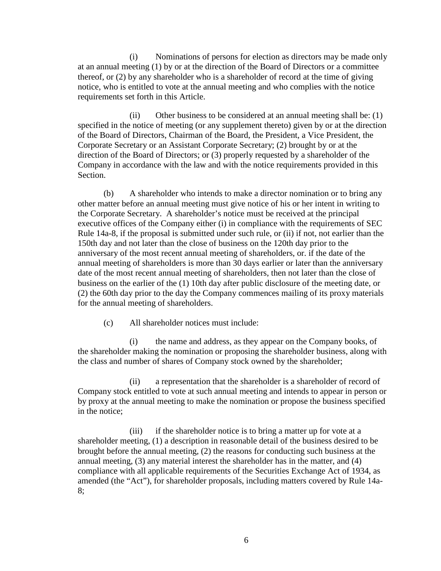(i) Nominations of persons for election as directors may be made only at an annual meeting (1) by or at the direction of the Board of Directors or a committee thereof, or (2) by any shareholder who is a shareholder of record at the time of giving notice, who is entitled to vote at the annual meeting and who complies with the notice requirements set forth in this Article.

(ii) Other business to be considered at an annual meeting shall be: (1) specified in the notice of meeting (or any supplement thereto) given by or at the direction of the Board of Directors, Chairman of the Board, the President, a Vice President, the Corporate Secretary or an Assistant Corporate Secretary; (2) brought by or at the direction of the Board of Directors; or (3) properly requested by a shareholder of the Company in accordance with the law and with the notice requirements provided in this Section.

(b) A shareholder who intends to make a director nomination or to bring any other matter before an annual meeting must give notice of his or her intent in writing to the Corporate Secretary. A shareholder's notice must be received at the principal executive offices of the Company either (i) in compliance with the requirements of SEC Rule 14a-8, if the proposal is submitted under such rule, or (ii) if not, not earlier than the 150th day and not later than the close of business on the 120th day prior to the anniversary of the most recent annual meeting of shareholders, or. if the date of the annual meeting of shareholders is more than 30 days earlier or later than the anniversary date of the most recent annual meeting of shareholders, then not later than the close of business on the earlier of the (1) 10th day after public disclosure of the meeting date, or (2) the 60th day prior to the day the Company commences mailing of its proxy materials for the annual meeting of shareholders.

(c) All shareholder notices must include:

(i) the name and address, as they appear on the Company books, of the shareholder making the nomination or proposing the shareholder business, along with the class and number of shares of Company stock owned by the shareholder;

(ii) a representation that the shareholder is a shareholder of record of Company stock entitled to vote at such annual meeting and intends to appear in person or by proxy at the annual meeting to make the nomination or propose the business specified in the notice;

(iii) if the shareholder notice is to bring a matter up for vote at a shareholder meeting, (1) a description in reasonable detail of the business desired to be brought before the annual meeting, (2) the reasons for conducting such business at the annual meeting, (3) any material interest the shareholder has in the matter, and (4) compliance with all applicable requirements of the Securities Exchange Act of 1934, as amended (the "Act"), for shareholder proposals, including matters covered by Rule 14a-8;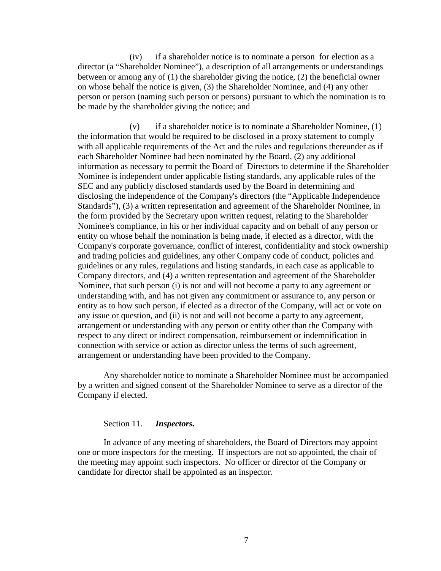(iv) if a shareholder notice is to nominate a person for election as a director (a "Shareholder Nominee"), a description of all arrangements or understandings between or among any of (1) the shareholder giving the notice, (2) the beneficial owner on whose behalf the notice is given, (3) the Shareholder Nominee, and (4) any other person or person (naming such person or persons) pursuant to which the nomination is to be made by the shareholder giving the notice; and

(v) if a shareholder notice is to nominate a Shareholder Nominee, (1) the information that would be required to be disclosed in a proxy statement to comply with all applicable requirements of the Act and the rules and regulations thereunder as if each Shareholder Nominee had been nominated by the Board, (2) any additional information as necessary to permit the Board of Directors to determine if the Shareholder Nominee is independent under applicable listing standards, any applicable rules of the SEC and any publicly disclosed standards used by the Board in determining and disclosing the independence of the Company's directors (the "Applicable Independence Standards"), (3) a written representation and agreement of the Shareholder Nominee, in the form provided by the Secretary upon written request, relating to the Shareholder Nominee's compliance, in his or her individual capacity and on behalf of any person or entity on whose behalf the nomination is being made, if elected as a director, with the Company's corporate governance, conflict of interest, confidentiality and stock ownership and trading policies and guidelines, any other Company code of conduct, policies and guidelines or any rules, regulations and listing standards, in each case as applicable to Company directors, and (4) a written representation and agreement of the Shareholder Nominee, that such person (i) is not and will not become a party to any agreement or understanding with, and has not given any commitment or assurance to, any person or entity as to how such person, if elected as a director of the Company, will act or vote on any issue or question, and (ii) is not and will not become a party to any agreement, arrangement or understanding with any person or entity other than the Company with respect to any direct or indirect compensation, reimbursement or indemnification in connection with service or action as director unless the terms of such agreement, arrangement or understanding have been provided to the Company.

Any shareholder notice to nominate a Shareholder Nominee must be accompanied by a written and signed consent of the Shareholder Nominee to serve as a director of the Company if elected.

### Section 11. *Inspectors.*

In advance of any meeting of shareholders, the Board of Directors may appoint one or more inspectors for the meeting. If inspectors are not so appointed, the chair of the meeting may appoint such inspectors. No officer or director of the Company or candidate for director shall be appointed as an inspector.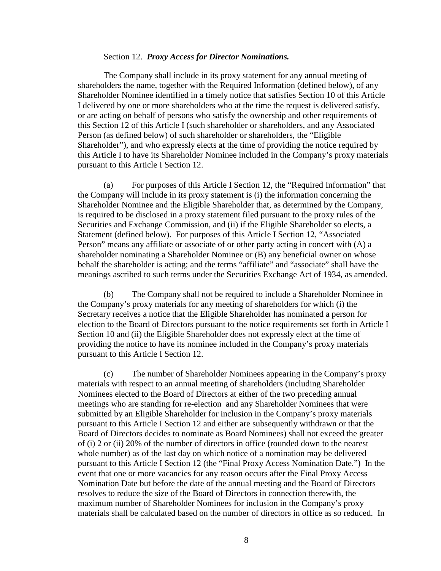#### Section 12. *Proxy Access for Director Nominations.*

The Company shall include in its proxy statement for any annual meeting of shareholders the name, together with the Required Information (defined below), of any Shareholder Nominee identified in a timely notice that satisfies Section 10 of this Article I delivered by one or more shareholders who at the time the request is delivered satisfy, or are acting on behalf of persons who satisfy the ownership and other requirements of this Section 12 of this Article I (such shareholder or shareholders, and any Associated Person (as defined below) of such shareholder or shareholders, the "Eligible Shareholder"), and who expressly elects at the time of providing the notice required by this Article I to have its Shareholder Nominee included in the Company's proxy materials pursuant to this Article I Section 12.

(a) For purposes of this Article I Section 12, the "Required Information" that the Company will include in its proxy statement is (i) the information concerning the Shareholder Nominee and the Eligible Shareholder that, as determined by the Company, is required to be disclosed in a proxy statement filed pursuant to the proxy rules of the Securities and Exchange Commission, and (ii) if the Eligible Shareholder so elects, a Statement (defined below). For purposes of this Article I Section 12, "Associated Person" means any affiliate or associate of or other party acting in concert with (A) a shareholder nominating a Shareholder Nominee or (B) any beneficial owner on whose behalf the shareholder is acting; and the terms "affiliate" and "associate" shall have the meanings ascribed to such terms under the Securities Exchange Act of 1934, as amended.

(b) The Company shall not be required to include a Shareholder Nominee in the Company's proxy materials for any meeting of shareholders for which (i) the Secretary receives a notice that the Eligible Shareholder has nominated a person for election to the Board of Directors pursuant to the notice requirements set forth in Article I Section 10 and (ii) the Eligible Shareholder does not expressly elect at the time of providing the notice to have its nominee included in the Company's proxy materials pursuant to this Article I Section 12.

(c) The number of Shareholder Nominees appearing in the Company's proxy materials with respect to an annual meeting of shareholders (including Shareholder Nominees elected to the Board of Directors at either of the two preceding annual meetings who are standing for re-election and any Shareholder Nominees that were submitted by an Eligible Shareholder for inclusion in the Company's proxy materials pursuant to this Article I Section 12 and either are subsequently withdrawn or that the Board of Directors decides to nominate as Board Nominees) shall not exceed the greater of (i) 2 or (ii) 20% of the number of directors in office (rounded down to the nearest whole number) as of the last day on which notice of a nomination may be delivered pursuant to this Article I Section 12 (the "Final Proxy Access Nomination Date.") In the event that one or more vacancies for any reason occurs after the Final Proxy Access Nomination Date but before the date of the annual meeting and the Board of Directors resolves to reduce the size of the Board of Directors in connection therewith, the maximum number of Shareholder Nominees for inclusion in the Company's proxy materials shall be calculated based on the number of directors in office as so reduced. In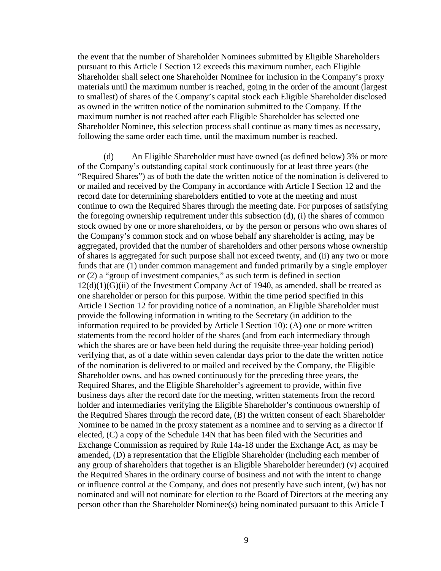the event that the number of Shareholder Nominees submitted by Eligible Shareholders pursuant to this Article I Section 12 exceeds this maximum number, each Eligible Shareholder shall select one Shareholder Nominee for inclusion in the Company's proxy materials until the maximum number is reached, going in the order of the amount (largest to smallest) of shares of the Company's capital stock each Eligible Shareholder disclosed as owned in the written notice of the nomination submitted to the Company. If the maximum number is not reached after each Eligible Shareholder has selected one Shareholder Nominee, this selection process shall continue as many times as necessary, following the same order each time, until the maximum number is reached.

(d) An Eligible Shareholder must have owned (as defined below) 3% or more of the Company's outstanding capital stock continuously for at least three years (the "Required Shares") as of both the date the written notice of the nomination is delivered to or mailed and received by the Company in accordance with Article I Section 12 and the record date for determining shareholders entitled to vote at the meeting and must continue to own the Required Shares through the meeting date. For purposes of satisfying the foregoing ownership requirement under this subsection (d), (i) the shares of common stock owned by one or more shareholders, or by the person or persons who own shares of the Company's common stock and on whose behalf any shareholder is acting, may be aggregated, provided that the number of shareholders and other persons whose ownership of shares is aggregated for such purpose shall not exceed twenty, and (ii) any two or more funds that are (1) under common management and funded primarily by a single employer or (2) a "group of investment companies," as such term is defined in section 12(d)(1)(G)(ii) of the Investment Company Act of 1940, as amended, shall be treated as one shareholder or person for this purpose. Within the time period specified in this Article I Section 12 for providing notice of a nomination, an Eligible Shareholder must provide the following information in writing to the Secretary (in addition to the information required to be provided by Article I Section 10): (A) one or more written statements from the record holder of the shares (and from each intermediary through which the shares are or have been held during the requisite three-year holding period) verifying that, as of a date within seven calendar days prior to the date the written notice of the nomination is delivered to or mailed and received by the Company, the Eligible Shareholder owns, and has owned continuously for the preceding three years, the Required Shares, and the Eligible Shareholder's agreement to provide, within five business days after the record date for the meeting, written statements from the record holder and intermediaries verifying the Eligible Shareholder's continuous ownership of the Required Shares through the record date, (B) the written consent of each Shareholder Nominee to be named in the proxy statement as a nominee and to serving as a director if elected, (C) a copy of the Schedule 14N that has been filed with the Securities and Exchange Commission as required by Rule 14a-18 under the Exchange Act, as may be amended, (D) a representation that the Eligible Shareholder (including each member of any group of shareholders that together is an Eligible Shareholder hereunder) (v) acquired the Required Shares in the ordinary course of business and not with the intent to change or influence control at the Company, and does not presently have such intent, (w) has not nominated and will not nominate for election to the Board of Directors at the meeting any person other than the Shareholder Nominee(s) being nominated pursuant to this Article I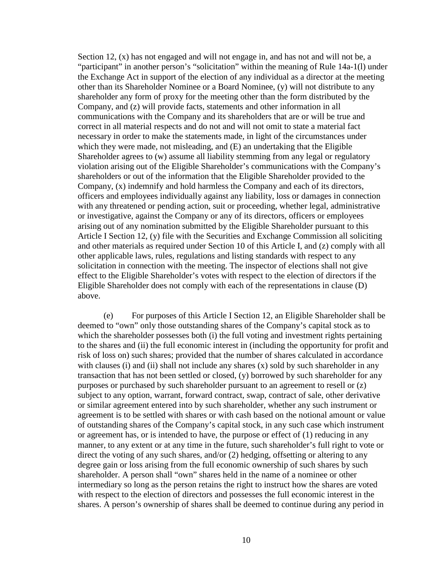Section 12,  $(x)$  has not engaged and will not engage in, and has not and will not be, a "participant" in another person's "solicitation" within the meaning of Rule 14a-1(l) under the Exchange Act in support of the election of any individual as a director at the meeting other than its Shareholder Nominee or a Board Nominee, (y) will not distribute to any shareholder any form of proxy for the meeting other than the form distributed by the Company, and (z) will provide facts, statements and other information in all communications with the Company and its shareholders that are or will be true and correct in all material respects and do not and will not omit to state a material fact necessary in order to make the statements made, in light of the circumstances under which they were made, not misleading, and  $(E)$  an undertaking that the Eligible Shareholder agrees to (w) assume all liability stemming from any legal or regulatory violation arising out of the Eligible Shareholder's communications with the Company's shareholders or out of the information that the Eligible Shareholder provided to the Company, (x) indemnify and hold harmless the Company and each of its directors, officers and employees individually against any liability, loss or damages in connection with any threatened or pending action, suit or proceeding, whether legal, administrative or investigative, against the Company or any of its directors, officers or employees arising out of any nomination submitted by the Eligible Shareholder pursuant to this Article I Section 12, (y) file with the Securities and Exchange Commission all soliciting and other materials as required under Section 10 of this Article I, and (z) comply with all other applicable laws, rules, regulations and listing standards with respect to any solicitation in connection with the meeting. The inspector of elections shall not give effect to the Eligible Shareholder's votes with respect to the election of directors if the Eligible Shareholder does not comply with each of the representations in clause (D) above.

(e) For purposes of this Article I Section 12, an Eligible Shareholder shall be deemed to "own" only those outstanding shares of the Company's capital stock as to which the shareholder possesses both (i) the full voting and investment rights pertaining to the shares and (ii) the full economic interest in (including the opportunity for profit and risk of loss on) such shares; provided that the number of shares calculated in accordance with clauses (i) and (ii) shall not include any shares  $(x)$  sold by such shareholder in any transaction that has not been settled or closed, (y) borrowed by such shareholder for any purposes or purchased by such shareholder pursuant to an agreement to resell or (z) subject to any option, warrant, forward contract, swap, contract of sale, other derivative or similar agreement entered into by such shareholder, whether any such instrument or agreement is to be settled with shares or with cash based on the notional amount or value of outstanding shares of the Company's capital stock, in any such case which instrument or agreement has, or is intended to have, the purpose or effect of (1) reducing in any manner, to any extent or at any time in the future, such shareholder's full right to vote or direct the voting of any such shares, and/or (2) hedging, offsetting or altering to any degree gain or loss arising from the full economic ownership of such shares by such shareholder. A person shall "own" shares held in the name of a nominee or other intermediary so long as the person retains the right to instruct how the shares are voted with respect to the election of directors and possesses the full economic interest in the shares. A person's ownership of shares shall be deemed to continue during any period in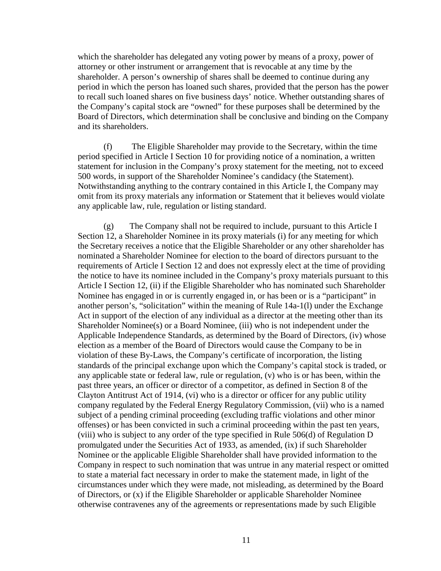which the shareholder has delegated any voting power by means of a proxy, power of attorney or other instrument or arrangement that is revocable at any time by the shareholder. A person's ownership of shares shall be deemed to continue during any period in which the person has loaned such shares, provided that the person has the power to recall such loaned shares on five business days' notice. Whether outstanding shares of the Company's capital stock are "owned" for these purposes shall be determined by the Board of Directors, which determination shall be conclusive and binding on the Company and its shareholders.

(f) The Eligible Shareholder may provide to the Secretary, within the time period specified in Article I Section 10 for providing notice of a nomination, a written statement for inclusion in the Company's proxy statement for the meeting, not to exceed 500 words, in support of the Shareholder Nominee's candidacy (the Statement). Notwithstanding anything to the contrary contained in this Article I, the Company may omit from its proxy materials any information or Statement that it believes would violate any applicable law, rule, regulation or listing standard.

(g) The Company shall not be required to include, pursuant to this Article I Section 12, a Shareholder Nominee in its proxy materials (i) for any meeting for which the Secretary receives a notice that the Eligible Shareholder or any other shareholder has nominated a Shareholder Nominee for election to the board of directors pursuant to the requirements of Article I Section 12 and does not expressly elect at the time of providing the notice to have its nominee included in the Company's proxy materials pursuant to this Article I Section 12, (ii) if the Eligible Shareholder who has nominated such Shareholder Nominee has engaged in or is currently engaged in, or has been or is a "participant" in another person's, "solicitation" within the meaning of Rule 14a-1(l) under the Exchange Act in support of the election of any individual as a director at the meeting other than its Shareholder Nominee(s) or a Board Nominee, (iii) who is not independent under the Applicable Independence Standards, as determined by the Board of Directors, (iv) whose election as a member of the Board of Directors would cause the Company to be in violation of these By-Laws, the Company's certificate of incorporation, the listing standards of the principal exchange upon which the Company's capital stock is traded, or any applicable state or federal law, rule or regulation, (v) who is or has been, within the past three years, an officer or director of a competitor, as defined in Section 8 of the Clayton Antitrust Act of 1914, (vi) who is a director or officer for any public utility company regulated by the Federal Energy Regulatory Commission, (vii) who is a named subject of a pending criminal proceeding (excluding traffic violations and other minor offenses) or has been convicted in such a criminal proceeding within the past ten years, (viii) who is subject to any order of the type specified in Rule 506(d) of Regulation D promulgated under the Securities Act of 1933, as amended, (ix) if such Shareholder Nominee or the applicable Eligible Shareholder shall have provided information to the Company in respect to such nomination that was untrue in any material respect or omitted to state a material fact necessary in order to make the statement made, in light of the circumstances under which they were made, not misleading, as determined by the Board of Directors, or (x) if the Eligible Shareholder or applicable Shareholder Nominee otherwise contravenes any of the agreements or representations made by such Eligible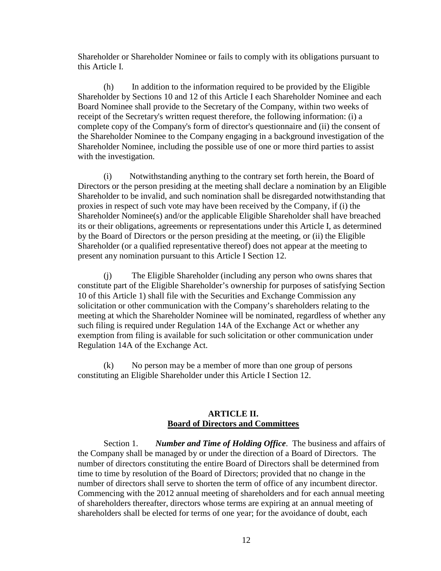Shareholder or Shareholder Nominee or fails to comply with its obligations pursuant to this Article I.

(h) In addition to the information required to be provided by the Eligible Shareholder by Sections 10 and 12 of this Article I each Shareholder Nominee and each Board Nominee shall provide to the Secretary of the Company, within two weeks of receipt of the Secretary's written request therefore, the following information: (i) a complete copy of the Company's form of director's questionnaire and (ii) the consent of the Shareholder Nominee to the Company engaging in a background investigation of the Shareholder Nominee, including the possible use of one or more third parties to assist with the investigation.

(i) Notwithstanding anything to the contrary set forth herein, the Board of Directors or the person presiding at the meeting shall declare a nomination by an Eligible Shareholder to be invalid, and such nomination shall be disregarded notwithstanding that proxies in respect of such vote may have been received by the Company, if (i) the Shareholder Nominee(s) and/or the applicable Eligible Shareholder shall have breached its or their obligations, agreements or representations under this Article I, as determined by the Board of Directors or the person presiding at the meeting, or (ii) the Eligible Shareholder (or a qualified representative thereof) does not appear at the meeting to present any nomination pursuant to this Article I Section 12.

(j) The Eligible Shareholder (including any person who owns shares that constitute part of the Eligible Shareholder's ownership for purposes of satisfying Section 10 of this Article 1) shall file with the Securities and Exchange Commission any solicitation or other communication with the Company's shareholders relating to the meeting at which the Shareholder Nominee will be nominated, regardless of whether any such filing is required under Regulation 14A of the Exchange Act or whether any exemption from filing is available for such solicitation or other communication under Regulation 14A of the Exchange Act.

(k) No person may be a member of more than one group of persons constituting an Eligible Shareholder under this Article I Section 12.

### **ARTICLE II. Board of Directors and Committees**

Section 1. *Number and Time of Holding Office*. The business and affairs of the Company shall be managed by or under the direction of a Board of Directors. The number of directors constituting the entire Board of Directors shall be determined from time to time by resolution of the Board of Directors; provided that no change in the number of directors shall serve to shorten the term of office of any incumbent director. Commencing with the 2012 annual meeting of shareholders and for each annual meeting of shareholders thereafter, directors whose terms are expiring at an annual meeting of shareholders shall be elected for terms of one year; for the avoidance of doubt, each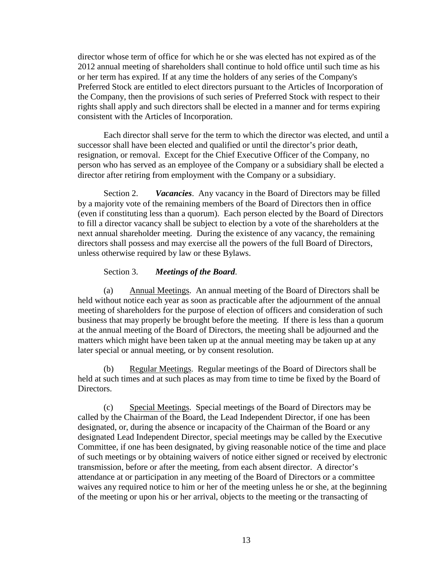director whose term of office for which he or she was elected has not expired as of the 2012 annual meeting of shareholders shall continue to hold office until such time as his or her term has expired. If at any time the holders of any series of the Company's Preferred Stock are entitled to elect directors pursuant to the Articles of Incorporation of the Company, then the provisions of such series of Preferred Stock with respect to their rights shall apply and such directors shall be elected in a manner and for terms expiring consistent with the Articles of Incorporation.

Each director shall serve for the term to which the director was elected, and until a successor shall have been elected and qualified or until the director's prior death, resignation, or removal. Except for the Chief Executive Officer of the Company, no person who has served as an employee of the Company or a subsidiary shall be elected a director after retiring from employment with the Company or a subsidiary.

Section 2. *Vacancies*. Any vacancy in the Board of Directors may be filled by a majority vote of the remaining members of the Board of Directors then in office (even if constituting less than a quorum). Each person elected by the Board of Directors to fill a director vacancy shall be subject to election by a vote of the shareholders at the next annual shareholder meeting. During the existence of any vacancy, the remaining directors shall possess and may exercise all the powers of the full Board of Directors, unless otherwise required by law or these Bylaws.

### Section 3. *Meetings of the Board*.

(a) Annual Meetings. An annual meeting of the Board of Directors shall be held without notice each year as soon as practicable after the adjournment of the annual meeting of shareholders for the purpose of election of officers and consideration of such business that may properly be brought before the meeting. If there is less than a quorum at the annual meeting of the Board of Directors, the meeting shall be adjourned and the matters which might have been taken up at the annual meeting may be taken up at any later special or annual meeting, or by consent resolution.

(b) Regular Meetings. Regular meetings of the Board of Directors shall be held at such times and at such places as may from time to time be fixed by the Board of Directors.

(c) Special Meetings. Special meetings of the Board of Directors may be called by the Chairman of the Board, the Lead Independent Director, if one has been designated, or, during the absence or incapacity of the Chairman of the Board or any designated Lead Independent Director, special meetings may be called by the Executive Committee, if one has been designated, by giving reasonable notice of the time and place of such meetings or by obtaining waivers of notice either signed or received by electronic transmission, before or after the meeting, from each absent director. A director's attendance at or participation in any meeting of the Board of Directors or a committee waives any required notice to him or her of the meeting unless he or she, at the beginning of the meeting or upon his or her arrival, objects to the meeting or the transacting of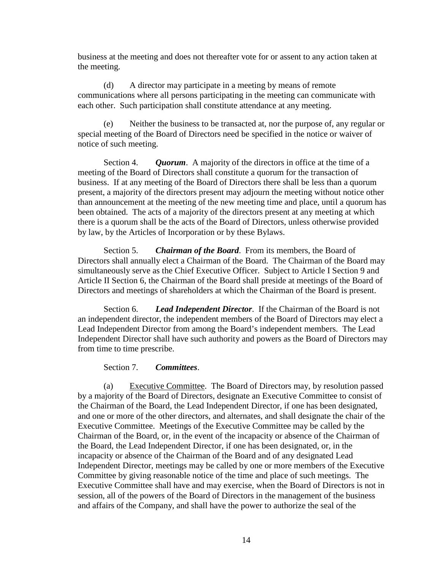business at the meeting and does not thereafter vote for or assent to any action taken at the meeting.

(d) A director may participate in a meeting by means of remote communications where all persons participating in the meeting can communicate with each other. Such participation shall constitute attendance at any meeting.

(e) Neither the business to be transacted at, nor the purpose of, any regular or special meeting of the Board of Directors need be specified in the notice or waiver of notice of such meeting.

Section 4. *Quorum*. A majority of the directors in office at the time of a meeting of the Board of Directors shall constitute a quorum for the transaction of business. If at any meeting of the Board of Directors there shall be less than a quorum present, a majority of the directors present may adjourn the meeting without notice other than announcement at the meeting of the new meeting time and place, until a quorum has been obtained. The acts of a majority of the directors present at any meeting at which there is a quorum shall be the acts of the Board of Directors, unless otherwise provided by law, by the Articles of Incorporation or by these Bylaws.

Section 5. *Chairman of the Board*. From its members, the Board of Directors shall annually elect a Chairman of the Board. The Chairman of the Board may simultaneously serve as the Chief Executive Officer. Subject to Article I Section 9 and Article II Section 6, the Chairman of the Board shall preside at meetings of the Board of Directors and meetings of shareholders at which the Chairman of the Board is present.

Section 6. *Lead Independent Director*. If the Chairman of the Board is not an independent director, the independent members of the Board of Directors may elect a Lead Independent Director from among the Board's independent members. The Lead Independent Director shall have such authority and powers as the Board of Directors may from time to time prescribe.

### Section 7. *Committees*.

(a) Executive Committee. The Board of Directors may, by resolution passed by a majority of the Board of Directors, designate an Executive Committee to consist of the Chairman of the Board, the Lead Independent Director, if one has been designated, and one or more of the other directors, and alternates, and shall designate the chair of the Executive Committee. Meetings of the Executive Committee may be called by the Chairman of the Board, or, in the event of the incapacity or absence of the Chairman of the Board, the Lead Independent Director, if one has been designated, or, in the incapacity or absence of the Chairman of the Board and of any designated Lead Independent Director, meetings may be called by one or more members of the Executive Committee by giving reasonable notice of the time and place of such meetings. The Executive Committee shall have and may exercise, when the Board of Directors is not in session, all of the powers of the Board of Directors in the management of the business and affairs of the Company, and shall have the power to authorize the seal of the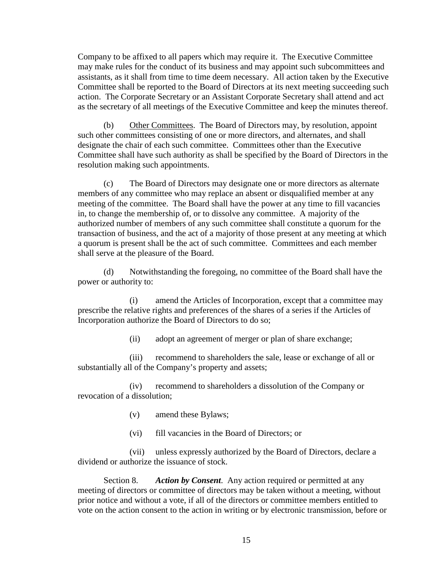Company to be affixed to all papers which may require it. The Executive Committee may make rules for the conduct of its business and may appoint such subcommittees and assistants, as it shall from time to time deem necessary. All action taken by the Executive Committee shall be reported to the Board of Directors at its next meeting succeeding such action. The Corporate Secretary or an Assistant Corporate Secretary shall attend and act as the secretary of all meetings of the Executive Committee and keep the minutes thereof.

(b) Other Committees. The Board of Directors may, by resolution, appoint such other committees consisting of one or more directors, and alternates, and shall designate the chair of each such committee. Committees other than the Executive Committee shall have such authority as shall be specified by the Board of Directors in the resolution making such appointments.

(c) The Board of Directors may designate one or more directors as alternate members of any committee who may replace an absent or disqualified member at any meeting of the committee. The Board shall have the power at any time to fill vacancies in, to change the membership of, or to dissolve any committee. A majority of the authorized number of members of any such committee shall constitute a quorum for the transaction of business, and the act of a majority of those present at any meeting at which a quorum is present shall be the act of such committee. Committees and each member shall serve at the pleasure of the Board.

(d) Notwithstanding the foregoing, no committee of the Board shall have the power or authority to:

(i) amend the Articles of Incorporation, except that a committee may prescribe the relative rights and preferences of the shares of a series if the Articles of Incorporation authorize the Board of Directors to do so;

(ii) adopt an agreement of merger or plan of share exchange;

(iii) recommend to shareholders the sale, lease or exchange of all or substantially all of the Company's property and assets;

(iv) recommend to shareholders a dissolution of the Company or revocation of a dissolution;

- (v) amend these Bylaws;
- (vi) fill vacancies in the Board of Directors; or

(vii) unless expressly authorized by the Board of Directors, declare a dividend or authorize the issuance of stock.

Section 8. *Action by Consent*. Any action required or permitted at any meeting of directors or committee of directors may be taken without a meeting, without prior notice and without a vote, if all of the directors or committee members entitled to vote on the action consent to the action in writing or by electronic transmission, before or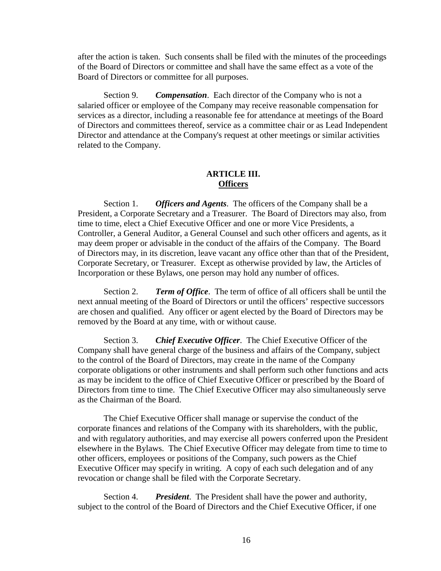after the action is taken. Such consents shall be filed with the minutes of the proceedings of the Board of Directors or committee and shall have the same effect as a vote of the Board of Directors or committee for all purposes.

Section 9. *Compensation*. Each director of the Company who is not a salaried officer or employee of the Company may receive reasonable compensation for services as a director, including a reasonable fee for attendance at meetings of the Board of Directors and committees thereof, service as a committee chair or as Lead Independent Director and attendance at the Company's request at other meetings or similar activities related to the Company.

### **ARTICLE III. Officers**

Section 1. *Officers and Agents*. The officers of the Company shall be a President, a Corporate Secretary and a Treasurer. The Board of Directors may also, from time to time, elect a Chief Executive Officer and one or more Vice Presidents, a Controller, a General Auditor, a General Counsel and such other officers and agents, as it may deem proper or advisable in the conduct of the affairs of the Company. The Board of Directors may, in its discretion, leave vacant any office other than that of the President, Corporate Secretary, or Treasurer. Except as otherwise provided by law, the Articles of Incorporation or these Bylaws, one person may hold any number of offices.

Section 2. *Term of Office*. The term of office of all officers shall be until the next annual meeting of the Board of Directors or until the officers' respective successors are chosen and qualified. Any officer or agent elected by the Board of Directors may be removed by the Board at any time, with or without cause.

Section 3. *Chief Executive Officer*. The Chief Executive Officer of the Company shall have general charge of the business and affairs of the Company, subject to the control of the Board of Directors, may create in the name of the Company corporate obligations or other instruments and shall perform such other functions and acts as may be incident to the office of Chief Executive Officer or prescribed by the Board of Directors from time to time. The Chief Executive Officer may also simultaneously serve as the Chairman of the Board.

The Chief Executive Officer shall manage or supervise the conduct of the corporate finances and relations of the Company with its shareholders, with the public, and with regulatory authorities, and may exercise all powers conferred upon the President elsewhere in the Bylaws. The Chief Executive Officer may delegate from time to time to other officers, employees or positions of the Company, such powers as the Chief Executive Officer may specify in writing. A copy of each such delegation and of any revocation or change shall be filed with the Corporate Secretary.

Section 4. *President*. The President shall have the power and authority, subject to the control of the Board of Directors and the Chief Executive Officer, if one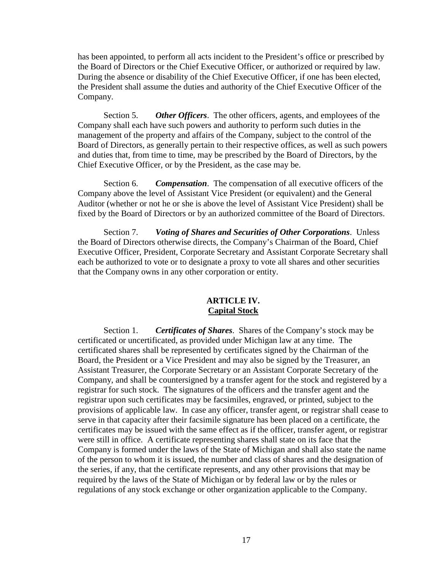has been appointed, to perform all acts incident to the President's office or prescribed by the Board of Directors or the Chief Executive Officer, or authorized or required by law. During the absence or disability of the Chief Executive Officer, if one has been elected, the President shall assume the duties and authority of the Chief Executive Officer of the Company.

Section 5. *Other Officers*. The other officers, agents, and employees of the Company shall each have such powers and authority to perform such duties in the management of the property and affairs of the Company, subject to the control of the Board of Directors, as generally pertain to their respective offices, as well as such powers and duties that, from time to time, may be prescribed by the Board of Directors, by the Chief Executive Officer, or by the President, as the case may be.

Section 6. *Compensation*. The compensation of all executive officers of the Company above the level of Assistant Vice President (or equivalent) and the General Auditor (whether or not he or she is above the level of Assistant Vice President) shall be fixed by the Board of Directors or by an authorized committee of the Board of Directors.

Section 7. *Voting of Shares and Securities of Other Corporations*. Unless the Board of Directors otherwise directs, the Company's Chairman of the Board, Chief Executive Officer, President, Corporate Secretary and Assistant Corporate Secretary shall each be authorized to vote or to designate a proxy to vote all shares and other securities that the Company owns in any other corporation or entity.

### **ARTICLE IV. Capital Stock**

Section 1. *Certificates of Shares*. Shares of the Company's stock may be certificated or uncertificated, as provided under Michigan law at any time. The certificated shares shall be represented by certificates signed by the Chairman of the Board, the President or a Vice President and may also be signed by the Treasurer, an Assistant Treasurer, the Corporate Secretary or an Assistant Corporate Secretary of the Company, and shall be countersigned by a transfer agent for the stock and registered by a registrar for such stock. The signatures of the officers and the transfer agent and the registrar upon such certificates may be facsimiles, engraved, or printed, subject to the provisions of applicable law. In case any officer, transfer agent, or registrar shall cease to serve in that capacity after their facsimile signature has been placed on a certificate, the certificates may be issued with the same effect as if the officer, transfer agent, or registrar were still in office. A certificate representing shares shall state on its face that the Company is formed under the laws of the State of Michigan and shall also state the name of the person to whom it is issued, the number and class of shares and the designation of the series, if any, that the certificate represents, and any other provisions that may be required by the laws of the State of Michigan or by federal law or by the rules or regulations of any stock exchange or other organization applicable to the Company.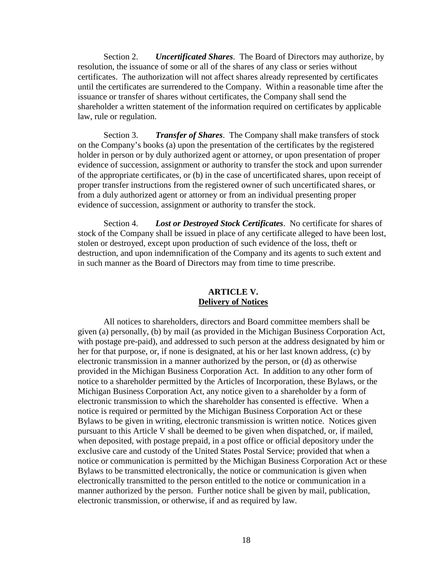Section 2. *Uncertificated Shares*. The Board of Directors may authorize, by resolution, the issuance of some or all of the shares of any class or series without certificates. The authorization will not affect shares already represented by certificates until the certificates are surrendered to the Company. Within a reasonable time after the issuance or transfer of shares without certificates, the Company shall send the shareholder a written statement of the information required on certificates by applicable law, rule or regulation.

 Section 3. *Transfer of Shares*. The Company shall make transfers of stock on the Company's books (a) upon the presentation of the certificates by the registered holder in person or by duly authorized agent or attorney, or upon presentation of proper evidence of succession, assignment or authority to transfer the stock and upon surrender of the appropriate certificates, or (b) in the case of uncertificated shares, upon receipt of proper transfer instructions from the registered owner of such uncertificated shares, or from a duly authorized agent or attorney or from an individual presenting proper evidence of succession, assignment or authority to transfer the stock.

Section 4. *Lost or Destroyed Stock Certificates*. No certificate for shares of stock of the Company shall be issued in place of any certificate alleged to have been lost, stolen or destroyed, except upon production of such evidence of the loss, theft or destruction, and upon indemnification of the Company and its agents to such extent and in such manner as the Board of Directors may from time to time prescribe.

## **ARTICLE V. Delivery of Notices**

All notices to shareholders, directors and Board committee members shall be given (a) personally, (b) by mail (as provided in the Michigan Business Corporation Act, with postage pre-paid), and addressed to such person at the address designated by him or her for that purpose, or, if none is designated, at his or her last known address, (c) by electronic transmission in a manner authorized by the person, or (d) as otherwise provided in the Michigan Business Corporation Act. In addition to any other form of notice to a shareholder permitted by the Articles of Incorporation, these Bylaws, or the Michigan Business Corporation Act, any notice given to a shareholder by a form of electronic transmission to which the shareholder has consented is effective. When a notice is required or permitted by the Michigan Business Corporation Act or these Bylaws to be given in writing, electronic transmission is written notice. Notices given pursuant to this Article V shall be deemed to be given when dispatched, or, if mailed, when deposited, with postage prepaid, in a post office or official depository under the exclusive care and custody of the United States Postal Service; provided that when a notice or communication is permitted by the Michigan Business Corporation Act or these Bylaws to be transmitted electronically, the notice or communication is given when electronically transmitted to the person entitled to the notice or communication in a manner authorized by the person. Further notice shall be given by mail, publication, electronic transmission, or otherwise, if and as required by law.